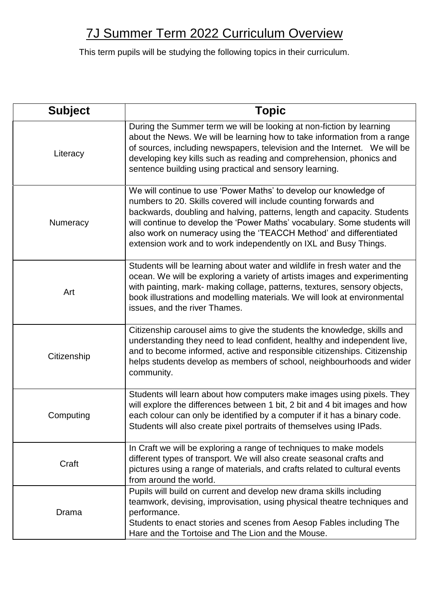## 7J Summer Term 2022 Curriculum Overview

This term pupils will be studying the following topics in their curriculum.

| <b>Subject</b> | <b>Topic</b>                                                                                                                                                                                                                                                                                                                                                                                                                             |
|----------------|------------------------------------------------------------------------------------------------------------------------------------------------------------------------------------------------------------------------------------------------------------------------------------------------------------------------------------------------------------------------------------------------------------------------------------------|
| Literacy       | During the Summer term we will be looking at non-fiction by learning<br>about the News. We will be learning how to take information from a range<br>of sources, including newspapers, television and the Internet. We will be<br>developing key kills such as reading and comprehension, phonics and<br>sentence building using practical and sensory learning.                                                                          |
| Numeracy       | We will continue to use 'Power Maths' to develop our knowledge of<br>numbers to 20. Skills covered will include counting forwards and<br>backwards, doubling and halving, patterns, length and capacity. Students<br>will continue to develop the 'Power Maths' vocabulary. Some students will<br>also work on numeracy using the 'TEACCH Method' and differentiated<br>extension work and to work independently on IXL and Busy Things. |
| Art            | Students will be learning about water and wildlife in fresh water and the<br>ocean. We will be exploring a variety of artists images and experimenting<br>with painting, mark- making collage, patterns, textures, sensory objects,<br>book illustrations and modelling materials. We will look at environmental<br>issues, and the river Thames.                                                                                        |
| Citizenship    | Citizenship carousel aims to give the students the knowledge, skills and<br>understanding they need to lead confident, healthy and independent live,<br>and to become informed, active and responsible citizenships. Citizenship<br>helps students develop as members of school, neighbourhoods and wider<br>community.                                                                                                                  |
| Computing      | Students will learn about how computers make images using pixels. They<br>will explore the differences between 1 bit, 2 bit and 4 bit images and how<br>each colour can only be identified by a computer if it has a binary code.<br>Students will also create pixel portraits of themselves using IPads.                                                                                                                                |
| Craft          | In Craft we will be exploring a range of techniques to make models<br>different types of transport. We will also create seasonal crafts and<br>pictures using a range of materials, and crafts related to cultural events<br>from around the world.                                                                                                                                                                                      |
| Drama          | Pupils will build on current and develop new drama skills including<br>teamwork, devising, improvisation, using physical theatre techniques and<br>performance.<br>Students to enact stories and scenes from Aesop Fables including The<br>Hare and the Tortoise and The Lion and the Mouse.                                                                                                                                             |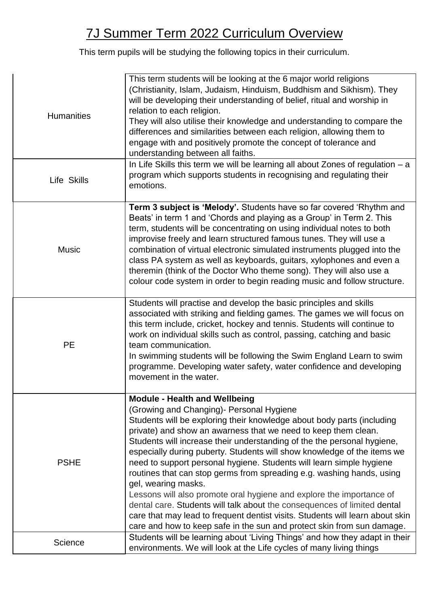## 7J Summer Term 2022 Curriculum Overview

This term pupils will be studying the following topics in their curriculum.

| <b>Humanities</b> | This term students will be looking at the 6 major world religions<br>(Christianity, Islam, Judaism, Hinduism, Buddhism and Sikhism). They<br>will be developing their understanding of belief, ritual and worship in<br>relation to each religion.<br>They will also utilise their knowledge and understanding to compare the<br>differences and similarities between each religion, allowing them to<br>engage with and positively promote the concept of tolerance and<br>understanding between all faiths.                                                                                                                                                                                                                                                                                                                                                              |
|-------------------|----------------------------------------------------------------------------------------------------------------------------------------------------------------------------------------------------------------------------------------------------------------------------------------------------------------------------------------------------------------------------------------------------------------------------------------------------------------------------------------------------------------------------------------------------------------------------------------------------------------------------------------------------------------------------------------------------------------------------------------------------------------------------------------------------------------------------------------------------------------------------|
| Life Skills       | In Life Skills this term we will be learning all about Zones of regulation $-a$<br>program which supports students in recognising and regulating their<br>emotions.                                                                                                                                                                                                                                                                                                                                                                                                                                                                                                                                                                                                                                                                                                        |
| <b>Music</b>      | Term 3 subject is 'Melody'. Students have so far covered 'Rhythm and<br>Beats' in term 1 and 'Chords and playing as a Group' in Term 2. This<br>term, students will be concentrating on using individual notes to both<br>improvise freely and learn structured famous tunes. They will use a<br>combination of virtual electronic simulated instruments plugged into the<br>class PA system as well as keyboards, guitars, xylophones and even a<br>theremin (think of the Doctor Who theme song). They will also use a<br>colour code system in order to begin reading music and follow structure.                                                                                                                                                                                                                                                                       |
| <b>PE</b>         | Students will practise and develop the basic principles and skills<br>associated with striking and fielding games. The games we will focus on<br>this term include, cricket, hockey and tennis. Students will continue to<br>work on individual skills such as control, passing, catching and basic<br>team communication.<br>In swimming students will be following the Swim England Learn to swim<br>programme. Developing water safety, water confidence and developing<br>movement in the water.                                                                                                                                                                                                                                                                                                                                                                       |
| <b>PSHE</b>       | <b>Module - Health and Wellbeing</b><br>(Growing and Changing) - Personal Hygiene<br>Students will be exploring their knowledge about body parts (including<br>private) and show an awarness that we need to keep them clean.<br>Students will increase their understanding of the the personal hygiene,<br>especially during puberty. Students will show knowledge of the items we<br>need to support personal hygiene. Students will learn simple hygiene<br>routines that can stop germs from spreading e.g. washing hands, using<br>gel, wearing masks.<br>Lessons will also promote oral hygiene and explore the importance of<br>dental care. Students will talk about the consequences of limited dental<br>care that may lead to frequent dentist visits. Students will learn about skin<br>care and how to keep safe in the sun and protect skin from sun damage. |
| Science           | Students will be learning about 'Living Things' and how they adapt in their<br>environments. We will look at the Life cycles of many living things                                                                                                                                                                                                                                                                                                                                                                                                                                                                                                                                                                                                                                                                                                                         |